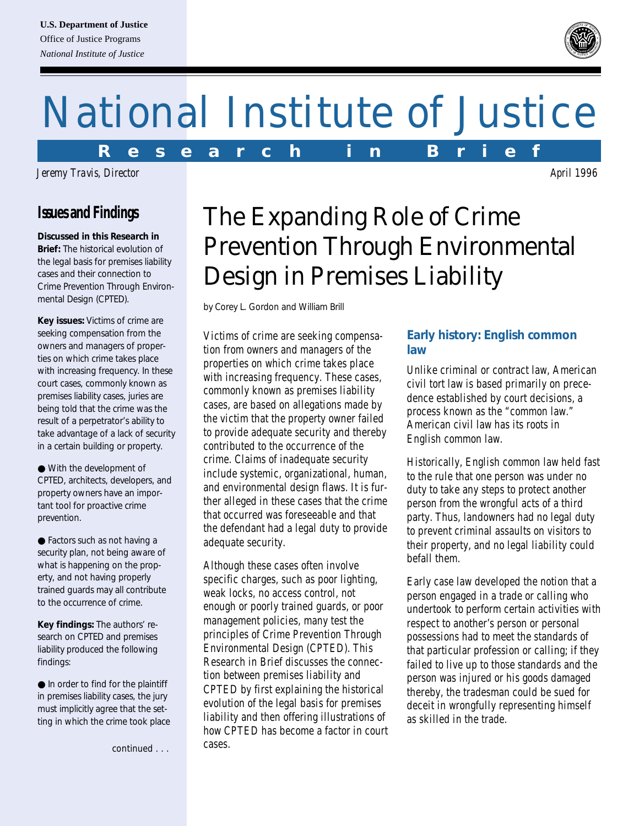# National Institute of Justice

**R e s e a r c h i n B r i e f**

*Jeremy Travis, Director April 1996*

# **Issues and Findings**

*Discussed in this Research in Brief:* The historical evolution of the legal basis for premises liability cases and their connection to Crime Prevention Through Environmental Design (CPTED).

*Key issues:* Victims of crime are seeking compensation from the owners and managers of properties on which crime takes place with increasing frequency. In these court cases, commonly known as premises liability cases, juries are being told that the crime was the result of a perpetrator's ability to take advantage of a lack of security in a certain building or property.

● With the development of CPTED, architects, developers, and property owners have an important tool for proactive crime prevention.

● Factors such as not having a security plan, not being aware of what is happening on the property, and not having properly trained guards may all contribute to the occurrence of crime.

*Key findings:* The authors' research on CPTED and premises liability produced the following findings:

● In order to find for the plaintiff in premises liability cases, the jury must implicitly agree that the setting in which the crime took place

*continued . . .*

# The Expanding Role of Crime Prevention Through Environmental Design in Premises Liability

*by Corey L. Gordon and William Brill*

Victims of crime are seeking compensation from owners and managers of the properties on which crime takes place with increasing frequency. These cases, commonly known as premises liability cases, are based on allegations made by the victim that the property owner failed to provide adequate security and thereby contributed to the occurrence of the crime. Claims of inadequate security include systemic, organizational, human, and environmental design flaws. It is further alleged in these cases that the crime that occurred was foreseeable and that the defendant had a legal duty to provide adequate security.

Although these cases often involve specific charges, such as poor lighting, weak locks, no access control, not enough or poorly trained guards, or poor management policies, many test the principles of Crime Prevention Through Environmental Design (CPTED). This Research in Brief discusses the connection between premises liability and CPTED by first explaining the historical evolution of the legal basis for premises liability and then offering illustrations of how CPTED has become a factor in court cases.

# **Early history: English common law**

Unlike criminal or contract law, American civil tort law is based primarily on precedence established by court decisions, a process known as the "common law." American civil law has its roots in English common law.

Historically, English common law held fast to the rule that one person was under no duty to take any steps to protect another person from the wrongful acts of a third party. Thus, landowners had no legal duty to prevent criminal assaults on visitors to their property, and no legal liability could befall them.

Early case law developed the notion that a person engaged in a trade or calling who undertook to perform certain activities with respect to another's person or personal possessions had to meet the standards of that particular profession or calling; if they failed to live up to those standards and the person was injured or his goods damaged thereby, the tradesman could be sued for deceit in wrongfully representing himself as skilled in the trade.

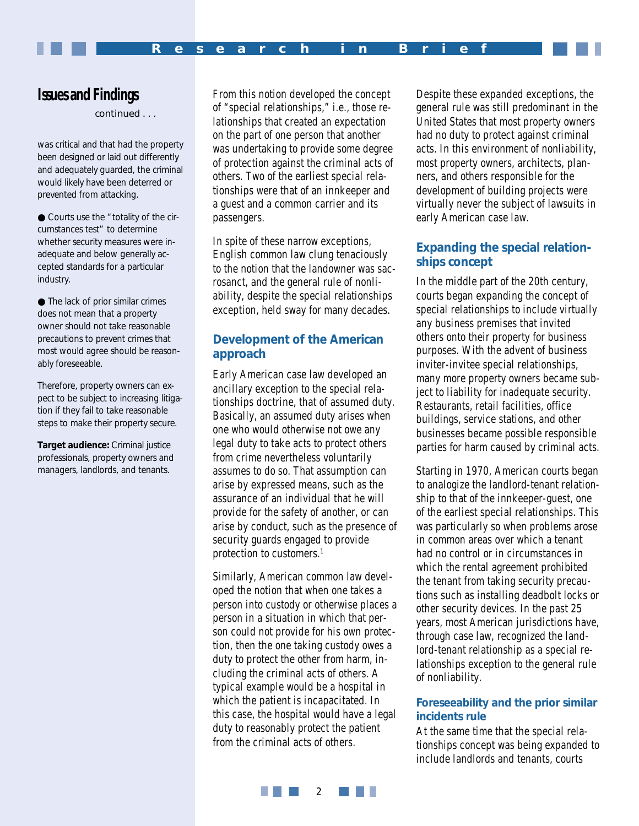# **Issues and Findings**

*continued . . .*

was critical and that had the property been designed or laid out differently and adequately guarded, the criminal would likely have been deterred or prevented from attacking.

● Courts use the "totality of the circumstances test" to determine whether security measures were inadequate and below generally accepted standards for a particular industry.

● The lack of prior similar crimes does not mean that a property owner should not take reasonable precautions to prevent crimes that most would agree should be reasonably foreseeable.

Therefore, property owners can expect to be subject to increasing litigation if they fail to take reasonable steps to make their property secure.

*Target audience:* Criminal justice professionals, property owners and managers, landlords, and tenants.

From this notion developed the concept of "special relationships," i.e., those relationships that created an expectation on the part of one person that another was undertaking to provide some degree of protection against the criminal acts of others. Two of the earliest special relationships were that of an innkeeper and a guest and a common carrier and its passengers.

In spite of these narrow exceptions, English common law clung tenaciously to the notion that the landowner was sacrosanct, and the general rule of nonliability, despite the special relationships exception, held sway for many decades.

## **Development of the American approach**

Early American case law developed an ancillary exception to the special relationships doctrine, that of assumed duty. Basically, an assumed duty arises when one who would otherwise not owe any legal duty to take acts to protect others from crime nevertheless voluntarily assumes to do so. That assumption can arise by expressed means, such as the assurance of an individual that he will provide for the safety of another, or can arise by conduct, such as the presence of security guards engaged to provide protection to customers.<sup>1</sup>

Similarly, American common law developed the notion that when one takes a person into custody or otherwise places a person in a situation in which that person could not provide for his own protection, then the one taking custody owes a duty to protect the other from harm, including the criminal acts of others. A typical example would be a hospital in which the patient is incapacitated. In this case, the hospital would have a legal duty to reasonably protect the patient from the criminal acts of others.

Despite these expanded exceptions, the general rule was still predominant in the United States that most property owners had no duty to protect against criminal acts. In this environment of nonliability, most property owners, architects, planners, and others responsible for the development of building projects were virtually never the subject of lawsuits in early American case law.

# **Expanding the special relationships concept**

In the middle part of the 20th century, courts began expanding the concept of special relationships to include virtually any business premises that invited others onto their property for business purposes. With the advent of business inviter-invitee special relationships, many more property owners became subject to liability for inadequate security. Restaurants, retail facilities, office buildings, service stations, and other businesses became possible responsible parties for harm caused by criminal acts.

Starting in 1970, American courts began to analogize the landlord-tenant relationship to that of the innkeeper-guest, one of the earliest special relationships. This was particularly so when problems arose in common areas over which a tenant had no control or in circumstances in which the rental agreement prohibited the tenant from taking security precautions such as installing deadbolt locks or other security devices. In the past 25 years, most American jurisdictions have, through case law, recognized the landlord-tenant relationship as a special relationships exception to the general rule of nonliability.

### **Foreseeability and the prior similar incidents rule**

At the same time that the special relationships concept was being expanded to include landlords and tenants, courts

**Maria Bar** 2 a di Kabupatén Ba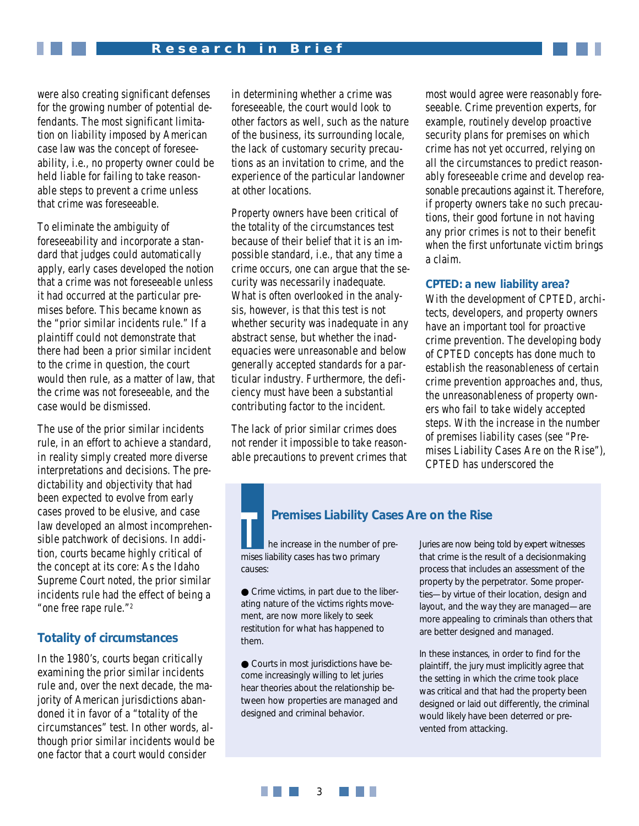were also creating significant defenses for the growing number of potential defendants. The most significant limitation on liability imposed by American case law was the concept of foreseeability, i.e., no property owner could be held liable for failing to take reasonable steps to prevent a crime unless that crime was foreseeable.

To eliminate the ambiguity of foreseeability and incorporate a standard that judges could automatically apply, early cases developed the notion that a crime was not foreseeable unless it had occurred at the particular premises before. This became known as the "prior similar incidents rule." If a plaintiff could not demonstrate that there had been a prior similar incident to the crime in question, the court would then rule, as a matter of law, that the crime was not foreseeable, and the case would be dismissed.

The use of the prior similar incidents rule, in an effort to achieve a standard, in reality simply created more diverse interpretations and decisions. The predictability and objectivity that had been expected to evolve from early cases proved to be elusive, and case law developed an almost incomprehensible patchwork of decisions. In addition, courts became highly critical of the concept at its core: As the Idaho Supreme Court noted, the prior similar incidents rule had the effect of being a "one free rape rule."2

#### **Totality of circumstances**

In the 1980's, courts began critically examining the prior similar incidents rule and, over the next decade, the majority of American jurisdictions abandoned it in favor of a "totality of the circumstances" test. In other words, although prior similar incidents would be one factor that a court would consider

in determining whether a crime was foreseeable, the court would look to other factors as well, such as the nature of the business, its surrounding locale, the lack of customary security precautions as an invitation to crime, and the experience of the particular landowner at other locations.

Property owners have been critical of the totality of the circumstances test because of their belief that it is an impossible standard, i.e., that any time a crime occurs, one can argue that the security was necessarily inadequate. What is often overlooked in the analysis, however, is that this test is not whether security was inadequate in any abstract sense, but whether the inadequacies were unreasonable and below generally accepted standards for a particular industry. Furthermore, the deficiency must have been a substantial contributing factor to the incident.

The lack of prior similar crimes does not render it impossible to take reasonable precautions to prevent crimes that most would agree were reasonably foreseeable. Crime prevention experts, for example, routinely develop proactive security plans for premises on which crime has not yet occurred, relying on all the circumstances to predict reasonably foreseeable crime and develop reasonable precautions against it. Therefore, if property owners take no such precautions, their good fortune in not having any prior crimes is not to their benefit when the first unfortunate victim brings a claim.

#### **CPTED: a new liability area?**

With the development of CPTED, architects, developers, and property owners have an important tool for proactive crime prevention. The developing body of CPTED concepts has done much to establish the reasonableness of certain crime prevention approaches and, thus, the unreasonableness of property owners who fail to take widely accepted steps. With the increase in the number of premises liability cases (see "Premises Liability Cases Are on the Rise"), CPTED has underscored the

# **Premises Liability Cases Are on the Rise**

he increase in the number of premises liability cases has two primary causes:

● Crime victims, in part due to the liberating nature of the victims rights movement, are now more likely to seek restitution for what has happened to them.

● Courts in most jurisdictions have become increasingly willing to let juries hear theories about the relationship between how properties are managed and designed and criminal behavior.

Juries are now being told by expert witnesses that crime is the result of a decisionmaking process that includes an assessment of the property by the perpetrator. Some properties—by virtue of their location, design and layout, and the way they are managed—are more appealing to criminals than others that are better designed and managed.

In these instances, in order to find for the plaintiff, the jury must implicitly agree that the setting in which the crime took place was critical and that had the property been designed or laid out differently, the criminal would likely have been deterred or prevented from attacking.

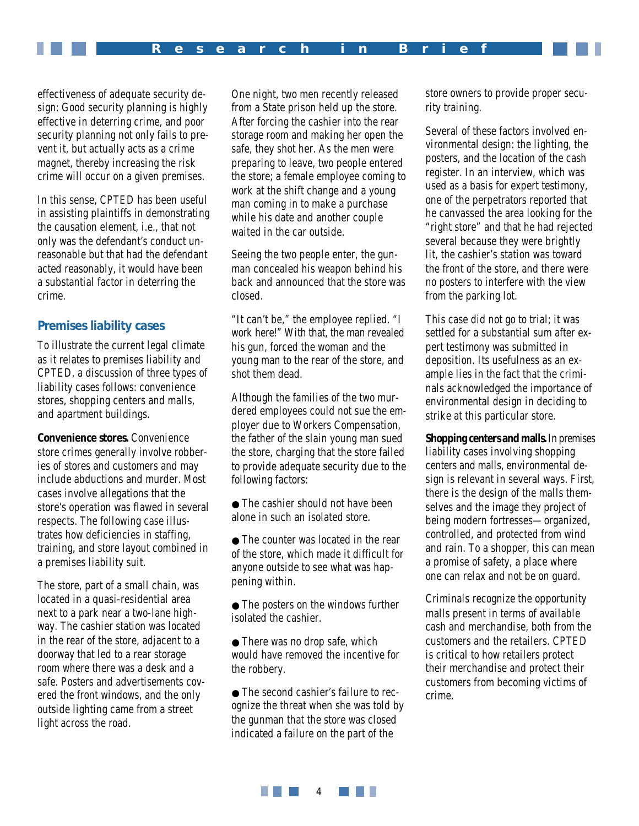effectiveness of adequate security design: Good security planning is highly effective in deterring crime, and poor security planning not only fails to prevent it, but actually acts as a crime magnet, thereby increasing the risk crime will occur on a given premises.

In this sense, CPTED has been useful in assisting plaintiffs in demonstrating the causation element, i.e., that not only was the defendant's conduct unreasonable but that had the defendant acted reasonably, it would have been a substantial factor in deterring the crime.

#### **Premises liability cases**

To illustrate the current legal climate as it relates to premises liability and CPTED, a discussion of three types of liability cases follows: convenience stores, shopping centers and malls, and apartment buildings.

**Convenience stores.** Convenience store crimes generally involve robberies of stores and customers and may include abductions and murder. Most cases involve allegations that the store's operation was flawed in several respects. The following case illustrates how deficiencies in staffing, training, and store layout combined in a premises liability suit.

The store, part of a small chain, was located in a quasi-residential area next to a park near a two-lane highway. The cashier station was located in the rear of the store, adjacent to a doorway that led to a rear storage room where there was a desk and a safe. Posters and advertisements covered the front windows, and the only outside lighting came from a street light across the road.

One night, two men recently released from a State prison held up the store. After forcing the cashier into the rear storage room and making her open the safe, they shot her. As the men were preparing to leave, two people entered the store; a female employee coming to work at the shift change and a young man coming in to make a purchase while his date and another couple waited in the car outside.

Seeing the two people enter, the gunman concealed his weapon behind his back and announced that the store was closed.

"It can't be," the employee replied. "I work here!" With that, the man revealed his gun, forced the woman and the young man to the rear of the store, and shot them dead.

Although the families of the two murdered employees could not sue the employer due to Workers Compensation, the father of the slain young man sued the store, charging that the store failed to provide adequate security due to the following factors:

● The cashier should not have been alone in such an isolated store.

● The counter was located in the rear of the store, which made it difficult for anyone outside to see what was happening within.

• The posters on the windows further isolated the cashier.

● There was no drop safe, which would have removed the incentive for the robbery.

● The second cashier's failure to recognize the threat when she was told by the gunman that the store was closed indicated a failure on the part of the

store owners to provide proper security training.

Several of these factors involved environmental design: the lighting, the posters, and the location of the cash register. In an interview, which was used as a basis for expert testimony, one of the perpetrators reported that he canvassed the area looking for the "right store" and that he had rejected several because they were brightly lit, the cashier's station was toward the front of the store, and there were no posters to interfere with the view from the parking lot.

This case did not go to trial; it was settled for a substantial sum after expert testimony was submitted in deposition. Its usefulness as an example lies in the fact that the criminals acknowledged the importance of environmental design in deciding to strike at this particular store.

**Shopping centers and malls.** In premises liability cases involving shopping centers and malls, environmental design is relevant in several ways. First, there is the design of the malls themselves and the image they project of being modern fortresses—organized, controlled, and protected from wind and rain. To a shopper, this can mean a promise of safety, a place where one can relax and not be on guard.

Criminals recognize the opportunity malls present in terms of available cash and merchandise, both from the customers and the retailers. CPTED is critical to how retailers protect their merchandise and protect their customers from becoming victims of crime.

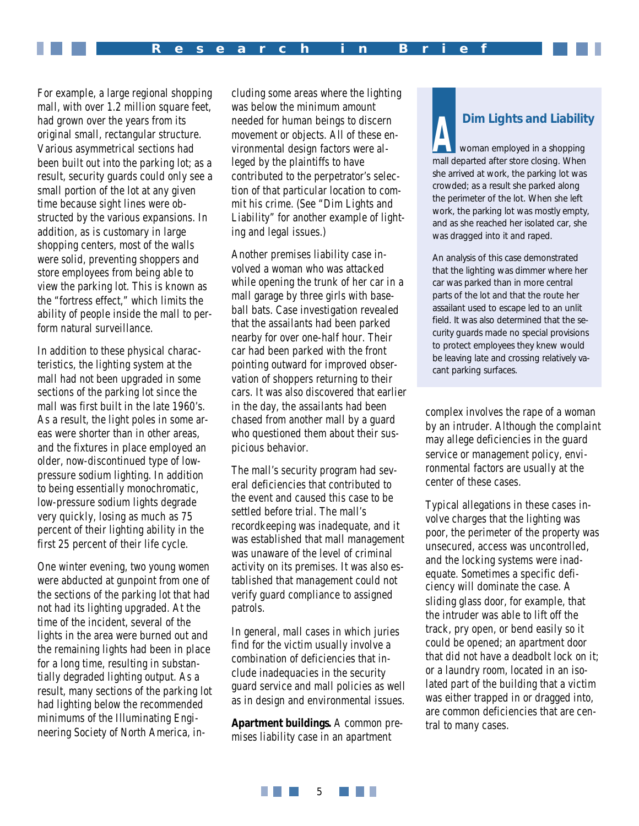For example, a large regional shopping mall, with over 1.2 million square feet, had grown over the years from its original small, rectangular structure. Various asymmetrical sections had been built out into the parking lot; as a result, security guards could only see a small portion of the lot at any given time because sight lines were obstructed by the various expansions. In addition, as is customary in large shopping centers, most of the walls were solid, preventing shoppers and store employees from being able to view the parking lot. This is known as the "fortress effect," which limits the ability of people inside the mall to perform natural surveillance.

In addition to these physical characteristics, the lighting system at the mall had not been upgraded in some sections of the parking lot since the mall was first built in the late 1960's. As a result, the light poles in some areas were shorter than in other areas, and the fixtures in place employed an older, now-discontinued type of lowpressure sodium lighting. In addition to being essentially monochromatic, low-pressure sodium lights degrade very quickly, losing as much as 75 percent of their lighting ability in the first 25 percent of their life cycle.

One winter evening, two young women were abducted at gunpoint from one of the sections of the parking lot that had not had its lighting upgraded. At the time of the incident, several of the lights in the area were burned out and the remaining lights had been in place for a long time, resulting in substantially degraded lighting output. As a result, many sections of the parking lot had lighting below the recommended minimums of the Illuminating Engineering Society of North America, in-

cluding some areas where the lighting was below the minimum amount needed for human beings to discern movement or objects. All of these environmental design factors were alleged by the plaintiffs to have contributed to the perpetrator's selection of that particular location to commit his crime. (See "Dim Lights and Liability" for another example of lighting and legal issues.)

Another premises liability case involved a woman who was attacked while opening the trunk of her car in a mall garage by three girls with baseball bats. Case investigation revealed that the assailants had been parked nearby for over one-half hour. Their car had been parked with the front pointing outward for improved observation of shoppers returning to their cars. It was also discovered that earlier in the day, the assailants had been chased from another mall by a guard who questioned them about their suspicious behavior.

The mall's security program had several deficiencies that contributed to the event and caused this case to be settled before trial. The mall's recordkeeping was inadequate, and it was established that mall management was unaware of the level of criminal activity on its premises. It was also established that management could not verify guard compliance to assigned patrols.

In general, mall cases in which juries find for the victim usually involve a combination of deficiencies that include inadequacies in the security guard service and mall policies as well as in design and environmental issues.

**Apartment buildings.** A common premises liability case in an apartment

# **Dim Lights and Liability**

woman employed in a shopping **A**<br> **A** woman employed in a shopping<br> **A** mall departed after store closing. When she arrived at work, the parking lot was crowded; as a result she parked along the perimeter of the lot. When she left work, the parking lot was mostly empty, and as she reached her isolated car, she was dragged into it and raped.

An analysis of this case demonstrated that the lighting was dimmer where her car was parked than in more central parts of the lot and that the route her assailant used to escape led to an unlit field. It was also determined that the security guards made no special provisions to protect employees they knew would be leaving late and crossing relatively vacant parking surfaces.

complex involves the rape of a woman by an intruder. Although the complaint may allege deficiencies in the guard service or management policy, environmental factors are usually at the center of these cases.

Typical allegations in these cases involve charges that the lighting was poor, the perimeter of the property was unsecured, access was uncontrolled, and the locking systems were inadequate. Sometimes a specific deficiency will dominate the case. A sliding glass door, for example, that the intruder was able to lift off the track, pry open, or bend easily so it could be opened; an apartment door that did not have a deadbolt lock on it; or a laundry room, located in an isolated part of the building that a victim was either trapped in or dragged into, are common deficiencies that are central to many cases.

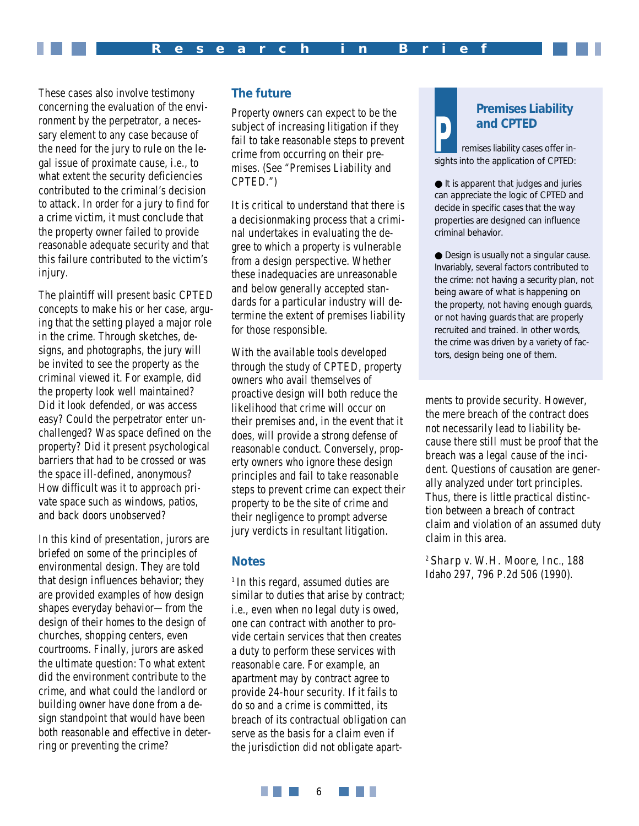These cases also involve testimony concerning the evaluation of the environment by the perpetrator, a necessary element to any case because of the need for the jury to rule on the legal issue of proximate cause, i.e., to what extent the security deficiencies contributed to the criminal's decision to attack. In order for a jury to find for a crime victim, it must conclude that the property owner failed to provide reasonable adequate security and that this failure contributed to the victim's injury.

The plaintiff will present basic CPTED concepts to make his or her case, arguing that the setting played a major role in the crime. Through sketches, designs, and photographs, the jury will be invited to see the property as the criminal viewed it. For example, did the property look well maintained? Did it look defended, or was access easy? Could the perpetrator enter unchallenged? Was space defined on the property? Did it present psychological barriers that had to be crossed or was the space ill-defined, anonymous? How difficult was it to approach private space such as windows, patios, and back doors unobserved?

In this kind of presentation, jurors are briefed on some of the principles of environmental design. They are told that design influences behavior; they are provided examples of how design shapes everyday behavior—from the design of their homes to the design of churches, shopping centers, even courtrooms. Finally, jurors are asked the ultimate question: To what extent did the environment contribute to the crime, and what could the landlord or building owner have done from a design standpoint that would have been both reasonable and effective in deterring or preventing the crime?

#### **The future**

Property owners can expect to be the subject of increasing litigation if they fail to take reasonable steps to prevent crime from occurring on their premises. (See "Premises Liability and CPTED.")

It is critical to understand that there is a decisionmaking process that a criminal undertakes in evaluating the degree to which a property is vulnerable from a design perspective. Whether these inadequacies are unreasonable and below generally accepted standards for a particular industry will determine the extent of premises liability for those responsible.

With the available tools developed through the study of CPTED, property owners who avail themselves of proactive design will both reduce the likelihood that crime will occur on their premises and, in the event that it does, will provide a strong defense of reasonable conduct. Conversely, property owners who ignore these design principles and fail to take reasonable steps to prevent crime can expect their property to be the site of crime and their negligence to prompt adverse jury verdicts in resultant litigation.

#### **Notes**

<sup>1</sup> In this regard, assumed duties are similar to duties that arise by contract; i.e., even when no legal duty is owed, one can contract with another to provide certain services that then creates a duty to perform these services with reasonable care. For example, an apartment may by contract agree to provide 24-hour security. If it fails to do so and a crime is committed, its breach of its contractual obligation can serve as the basis for a claim even if the jurisdiction did not obligate apart-

# **Premises Liability and CPTED**

**P**<br>
remises liability cases offer in-<br>
sights into the application of CPTED: remises liability cases offer in-

● It is apparent that judges and juries can appreciate the logic of CPTED and decide in specific cases that the way properties are designed can influence criminal behavior.

● Design is usually not a singular cause. Invariably, several factors contributed to the crime: not having a security plan, not being aware of what is happening on the property, not having enough guards, or not having guards that are properly recruited and trained. In other words, the crime was driven by a variety of factors, design being one of them.

ments to provide security. However, the mere breach of the contract does not necessarily lead to liability because there still must be proof that the breach was a legal cause of the incident. Questions of causation are generally analyzed under tort principles. Thus, there is little practical distinction between a breach of contract claim and violation of an assumed duty claim in this area.

<sup>2</sup>*Sharp* v. *W.H. Moore, Inc.*, 188 Idaho 297, 796 P.2d 506 (1990).

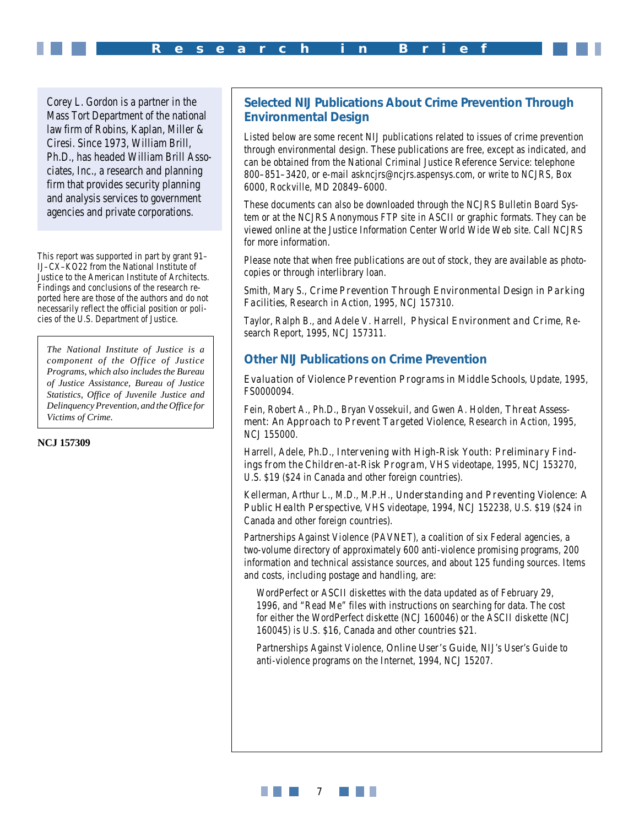Corey L. Gordon is a partner in the Mass Tort Department of the national law firm of Robins, Kaplan, Miller & Ciresi. Since 1973, William Brill, Ph.D., has headed William Brill Associates, Inc., a research and planning firm that provides security planning and analysis services to government agencies and private corporations.

This report was supported in part by grant 91– IJ–CX–KO22 from the National Institute of Justice to the American Institute of Architects. Findings and conclusions of the research reported here are those of the authors and do not necessarily reflect the official position or policies of the U.S. Department of Justice.

*The National Institute of Justice is a component of the Office of Justice Programs, which also includes the Bureau of Justice Assistance, Bureau of Justice Statistics, Office of Juvenile Justice and Delinquency Prevention, and the Office for Victims of Crime.*

**NCJ 157309**

#### **Selected NIJ Publications About Crime Prevention Through Environmental Design**

Listed below are some recent NIJ publications related to issues of crime prevention through environmental design. These publications are free, except as indicated, and can be obtained from the National Criminal Justice Reference Service: telephone 800–851–3420, or e-mail askncjrs@ncjrs.aspensys.com, or write to NCJRS, Box 6000, Rockville, MD 20849–6000.

These documents can also be downloaded through the NCJRS Bulletin Board System or at the NCJRS Anonymous FTP site in ASCII or graphic formats. They can be viewed online at the Justice Information Center World Wide Web site. Call NCJRS for more information.

Please note that when free publications are out of stock, they are available as photocopies or through interlibrary loan.

Smith, Mary S., *Crime Prevention Through Environmental Design in Parking Facilities*, Research in Action, 1995, NCJ 157310.

Taylor, Ralph B., and Adele V. Harrell, *Physical Environment and Crime*, Research Report, 1995, NCJ 157311.

#### **Other NIJ Publications on Crime Prevention**

*Evaluation of Violence Prevention Programs in Middle Schools*, Update, 1995, FS0000094.

Fein, Robert A., Ph.D., Bryan Vossekuil, and Gwen A. Holden, *Threat Assessment: An Approach to Prevent Targeted Violence*, Research in Action, 1995, NCJ 155000.

Harrell, Adele, Ph.D., *Intervening with High-Risk Youth: Preliminary Findings from the Children-at-Risk Program*, VHS videotape, 1995, NCJ 153270, U.S. \$19 (\$24 in Canada and other foreign countries).

Kellerman, Arthur L., M.D., M.P.H., *Understanding and Preventing Violence: A Public Health Perspective*, VHS videotape, 1994, NCJ 152238, U.S. \$19 (\$24 in Canada and other foreign countries).

Partnerships Against Violence (PAVNET), a coalition of six Federal agencies, a two-volume directory of approximately 600 anti-violence promising programs, 200 information and technical assistance sources, and about 125 funding sources. Items and costs, including postage and handling, are:

WordPerfect or ASCII diskettes with the data updated as of February 29, 1996, and "Read Me" files with instructions on searching for data. The cost for either the WordPerfect diskette (NCJ 160046) or the ASCII diskette (NCJ 160045) is U.S. \$16, Canada and other countries \$21.

Partnerships Against Violence, *Online User's Guide*, NIJ's User's Guide to anti-violence programs on the Internet, 1994, NCJ 15207.